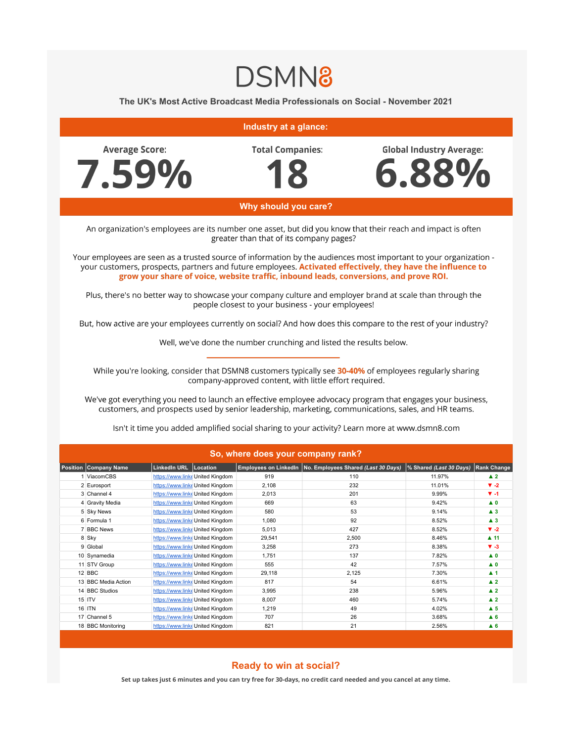## **DSMN8**

**The UK's Most Active Broadcast Media Professionals on Social - November 2021**

| Industry at a glance:                                                                                                                                                                                                                                                                                                                                                                  |                              |                                                                      |                                  |                         |                                                             |                                 |                                          |
|----------------------------------------------------------------------------------------------------------------------------------------------------------------------------------------------------------------------------------------------------------------------------------------------------------------------------------------------------------------------------------------|------------------------------|----------------------------------------------------------------------|----------------------------------|-------------------------|-------------------------------------------------------------|---------------------------------|------------------------------------------|
| <b>Average Score:</b>                                                                                                                                                                                                                                                                                                                                                                  |                              |                                                                      |                                  | <b>Total Companies:</b> |                                                             | <b>Global Industry Average:</b> |                                          |
|                                                                                                                                                                                                                                                                                                                                                                                        | 7.59%                        |                                                                      |                                  |                         |                                                             | 6.88%                           |                                          |
| Why should you care?                                                                                                                                                                                                                                                                                                                                                                   |                              |                                                                      |                                  |                         |                                                             |                                 |                                          |
| An organization's employees are its number one asset, but did you know that their reach and impact is often<br>greater than that of its company pages?                                                                                                                                                                                                                                 |                              |                                                                      |                                  |                         |                                                             |                                 |                                          |
| Your employees are seen as a trusted source of information by the audiences most important to your organization -<br>your customers, prospects, partners and future employees. Activated effectively, they have the influence to<br>grow your share of voice, website traffic, inbound leads, conversions, and prove ROI.                                                              |                              |                                                                      |                                  |                         |                                                             |                                 |                                          |
| Plus, there's no better way to showcase your company culture and employer brand at scale than through the<br>people closest to your business - your employees!                                                                                                                                                                                                                         |                              |                                                                      |                                  |                         |                                                             |                                 |                                          |
| But, how active are your employees currently on social? And how does this compare to the rest of your industry?                                                                                                                                                                                                                                                                        |                              |                                                                      |                                  |                         |                                                             |                                 |                                          |
| Well, we've done the number crunching and listed the results below.                                                                                                                                                                                                                                                                                                                    |                              |                                                                      |                                  |                         |                                                             |                                 |                                          |
| While you're looking, consider that DSMN8 customers typically see 30-40% of employees regularly sharing<br>company-approved content, with little effort required.<br>We've got everything you need to launch an effective employee advocacy program that engages your business,<br>customers, and prospects used by senior leadership, marketing, communications, sales, and HR teams. |                              |                                                                      |                                  |                         |                                                             |                                 |                                          |
| Isn't it time you added amplified social sharing to your activity? Learn more at www.dsmn8.com                                                                                                                                                                                                                                                                                         |                              |                                                                      |                                  |                         |                                                             |                                 |                                          |
| So, where does your company rank?                                                                                                                                                                                                                                                                                                                                                      |                              |                                                                      |                                  |                         |                                                             |                                 |                                          |
|                                                                                                                                                                                                                                                                                                                                                                                        | <b>Position Company Name</b> | LinkedIn URL Location                                                |                                  |                         | Employees on LinkedIn   No. Employees Shared (Last 30 Days) | % Shared (Last 30 Days)         | <b>Rank Change</b>                       |
|                                                                                                                                                                                                                                                                                                                                                                                        | 1 ViacomCBS                  | https://www.linke United Kingdom                                     |                                  | 919                     | 110                                                         | 11.97%                          | $\blacktriangle$ 2                       |
|                                                                                                                                                                                                                                                                                                                                                                                        | 2 Eurosport                  | https://www.linke United Kingdom                                     |                                  | 2,108                   | 232                                                         | 11.01%                          | $V - 2$                                  |
|                                                                                                                                                                                                                                                                                                                                                                                        | 3 Channel 4                  | https://www.linkeUnited Kingdom                                      |                                  | 2,013                   | 201                                                         | 9.99%                           | $V - 1$                                  |
|                                                                                                                                                                                                                                                                                                                                                                                        | 4 Gravity Media              | https://www.linke United Kingdom                                     |                                  | 669                     | 63                                                          | 9.42%                           | $\blacktriangle$ 0                       |
|                                                                                                                                                                                                                                                                                                                                                                                        | 5 Sky News                   | https://www.linke United Kingdom                                     |                                  | 580                     | 53                                                          | 9.14%                           | $\blacktriangle$ 3                       |
|                                                                                                                                                                                                                                                                                                                                                                                        | 6 Formula 1                  | https://www.linke United Kingdom                                     |                                  | 1,080                   | 92                                                          | 8.52%                           | $\blacktriangle$ 3                       |
|                                                                                                                                                                                                                                                                                                                                                                                        | 7 BBC News                   | https://www.linke United Kingdom                                     |                                  | 5,013                   | 427                                                         | 8.52%                           | $\Psi -2$                                |
|                                                                                                                                                                                                                                                                                                                                                                                        | 8 Sky                        | https://www.linke United Kingdom                                     |                                  | 29,541                  | 2,500                                                       | 8.46%                           | $\blacktriangle$ 11                      |
|                                                                                                                                                                                                                                                                                                                                                                                        | 9 Global                     | https://www.linke United Kingdom                                     |                                  | 3,258                   | 273                                                         | 8.38%                           | $V - 3$                                  |
|                                                                                                                                                                                                                                                                                                                                                                                        | 10 Synamedia                 | https://www.linke United Kingdom                                     |                                  | 1,751                   | 137                                                         | 7.82%                           | $\blacktriangle$ 0                       |
|                                                                                                                                                                                                                                                                                                                                                                                        | 11 STV Group<br>12 BBC       |                                                                      | https://www.linke United Kingdom | 555                     | 42<br>2,125                                                 | 7.57%<br>7.30%                  | $\blacktriangle$ 0                       |
|                                                                                                                                                                                                                                                                                                                                                                                        | 13 BBC Media Action          | https://www.linke United Kingdom<br>https://www.linke United Kingdom |                                  | 29,118                  | 54                                                          | 6.61%                           | $\blacktriangle$ 1                       |
|                                                                                                                                                                                                                                                                                                                                                                                        | 14 BBC Studios               | https://www.linke United Kingdom                                     |                                  | 817<br>3,995            | 238                                                         | 5.96%                           | $\blacktriangle$ 2<br>$\blacktriangle$ 2 |
|                                                                                                                                                                                                                                                                                                                                                                                        | 15 ITV                       | https://www.linke United Kingdom                                     |                                  | 8,007                   | 460                                                         | 5.74%                           | $\blacktriangle$ 2                       |
|                                                                                                                                                                                                                                                                                                                                                                                        | 16 ITN                       | https://www.linke United Kingdom                                     |                                  | 1,219                   | 49                                                          | 4.02%                           | $\blacktriangle$ 5                       |
|                                                                                                                                                                                                                                                                                                                                                                                        | 17 Channel 5                 | https://www.linke United Kingdom                                     |                                  | 707                     | 26                                                          | 3.68%                           | $\blacktriangle$ 6                       |
|                                                                                                                                                                                                                                                                                                                                                                                        | 18 BBC Monitoring            |                                                                      | https://www.linke United Kingdom | 821                     | 21                                                          | 2.56%                           | $\triangle$ 6                            |

## **Ready to win at social?**

**Set up takes just 6 minutes and you can try free for 30-days, no credit card needed and you cancel at any time.**